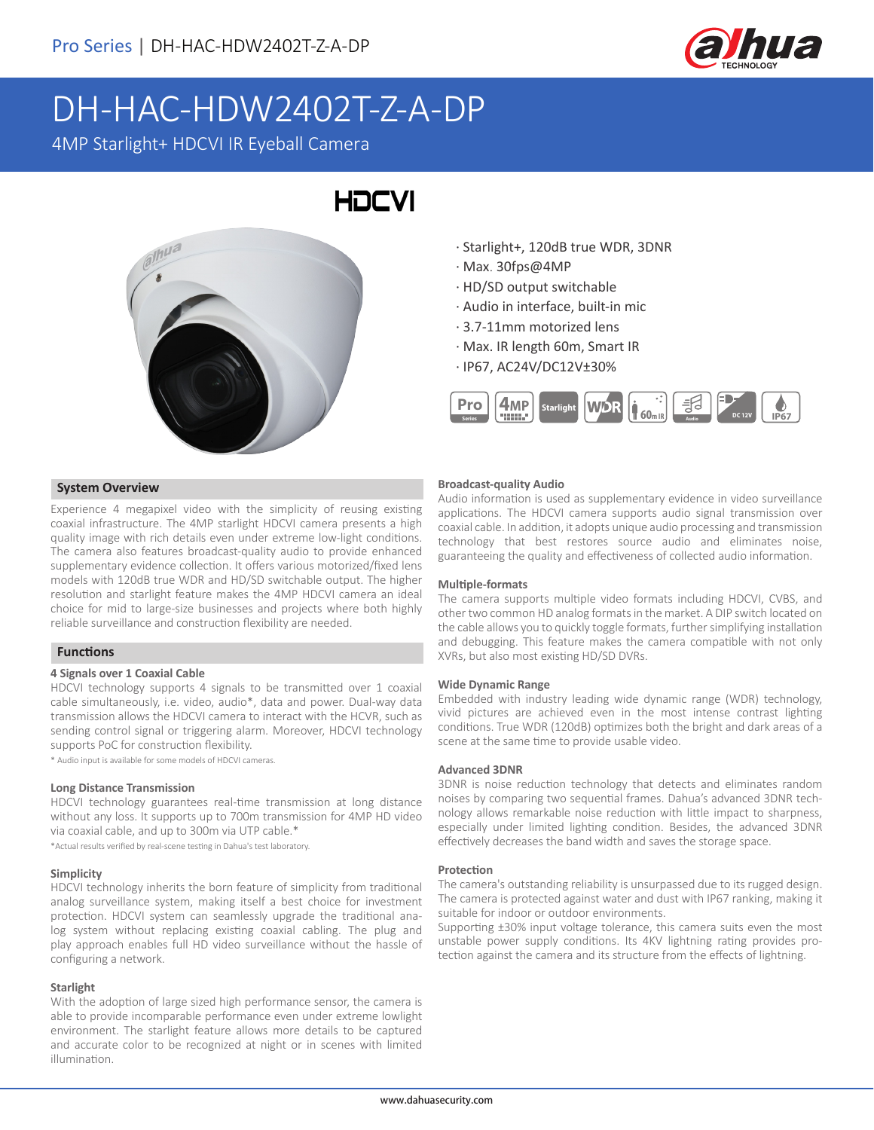

# DH-HAC-HDW2402T-Z-A-DP

4MP Starlight+ HDCVI IR Eyeball Camera

## HOCVI



### · Starlight+, 120dB true WDR, 3DNR · Max. 30fps@4MP

- · HD/SD output switchable
- · Audio in interface, built-in mic
- · 3.7-11mm motorized lens
- · Max. IR length 60m, Smart IR
- · IP67, AC24V/DC12V±30%



#### **Broadcast-quality Audio**

Audio information is used as supplementary evidence in video surveillance applications. The HDCVI camera supports audio signal transmission over coaxial cable. In addition, it adopts unique audio processing and transmission technology that best restores source audio and eliminates noise, guaranteeing the quality and effectiveness of collected audio information.

#### **Multiple-formats**

The camera supports multiple video formats including HDCVI, CVBS, and other two common HD analog formats in the market. A DIP switch located on the cable allows you to quickly toggle formats, further simplifying installation and debugging. This feature makes the camera compatible with not only XVRs, but also most existing HD/SD DVRs.

#### **Wide Dynamic Range**

Embedded with industry leading wide dynamic range (WDR) technology, vivid pictures are achieved even in the most intense contrast lighting conditions. True WDR (120dB) optimizes both the bright and dark areas of a scene at the same time to provide usable video.

#### **Advanced 3DNR**

3DNR is noise reduction technology that detects and eliminates random noises by comparing two sequential frames. Dahua's advanced 3DNR technology allows remarkable noise reduction with little impact to sharpness, especially under limited lighting condition. Besides, the advanced 3DNR effectively decreases the band width and saves the storage space.

#### **Protection**

The camera's outstanding reliability is unsurpassed due to its rugged design. The camera is protected against water and dust with IP67 ranking, making it suitable for indoor or outdoor environments.

Supporting ±30% input voltage tolerance, this camera suits even the most unstable power supply conditions. Its 4KV lightning rating provides protection against the camera and its structure from the effects of lightning.

#### **System Overview**

Experience 4 megapixel video with the simplicity of reusing existing coaxial infrastructure. The 4MP starlight HDCVI camera presents a high quality image with rich details even under extreme low-light conditions. The camera also features broadcast-quality audio to provide enhanced supplementary evidence collection. It offers various motorized/fixed lens models with 120dB true WDR and HD/SD switchable output. The higher resolution and starlight feature makes the 4MP HDCVI camera an ideal choice for mid to large-size businesses and projects where both highly reliable surveillance and construction flexibility are needed.

#### **Functions**

#### **4 Signals over 1 Coaxial Cable**

HDCVI technology supports 4 signals to be transmitted over 1 coaxial cable simultaneously, i.e. video, audio\*, data and power. Dual-way data transmission allows the HDCVI camera to interact with the HCVR, such as sending control signal or triggering alarm. Moreover, HDCVI technology supports PoC for construction flexibility.

\* Audio input is available for some models of HDCVI cameras.

#### **Long Distance Transmission**

HDCVI technology guarantees real-time transmission at long distance without any loss. It supports up to 700m transmission for 4MP HD video via coaxial cable, and up to 300m via UTP cable.\*

\*Actual results verified by real-scene testing in Dahua's test laboratory.

#### **Simplicity**

HDCVI technology inherits the born feature of simplicity from traditional analog surveillance system, making itself a best choice for investment protection. HDCVI system can seamlessly upgrade the traditional analog system without replacing existing coaxial cabling. The plug and play approach enables full HD video surveillance without the hassle of configuring a network.

#### **Starlight**

With the adoption of large sized high performance sensor, the camera is able to provide incomparable performance even under extreme lowlight environment. The starlight feature allows more details to be captured and accurate color to be recognized at night or in scenes with limited illumination.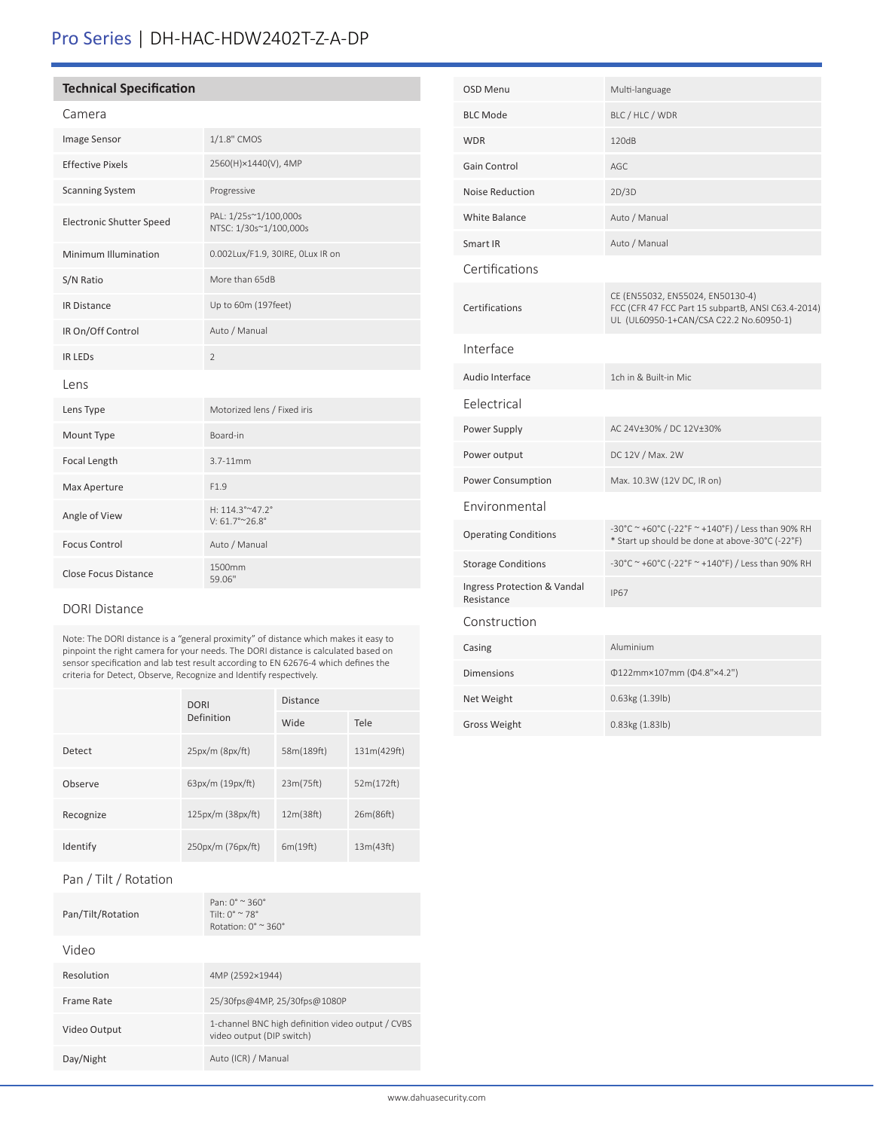## Pro Series | DH-HAC-HDW2402T-Z-A-DP

#### **Technical Specification**

#### Camera

| Image Sensor                    | 1/1.8" CMOS                                            |
|---------------------------------|--------------------------------------------------------|
| <b>Effective Pixels</b>         | 2560(H)×1440(V), 4MP                                   |
| <b>Scanning System</b>          | Progressive                                            |
| <b>Electronic Shutter Speed</b> | PAL: 1/25s~1/100,000s<br>NTSC: 1/30s~1/100,000s        |
| Minimum Illumination            | 0.002Lux/F1.9, 30IRE, OLux IR on                       |
| S/N Ratio                       | More than 65dB                                         |
| <b>IR Distance</b>              | Up to 60m (197feet)                                    |
| IR On/Off Control               | Auto / Manual                                          |
| <b>IR LEDS</b>                  | $\overline{2}$                                         |
| Lens                            |                                                        |
| Lens Type                       | Motorized lens / Fixed iris                            |
| Mount Type                      | Board-in                                               |
| Focal Length                    | $3.7 - 11$ mm                                          |
| Max Aperture                    | F <sub>1.9</sub>                                       |
| Angle of View                   | H: $114.3^{\circ}$ ~47.2°<br>$V: 61.7^{\circ}$ ~ 26.8° |
| <b>Focus Control</b>            | Auto / Manual                                          |
| <b>Close Focus Distance</b>     | 1500mm<br>59.06"                                       |

#### DORI Distance

Note: The DORI distance is a "general proximity" of distance which makes it easy to pinpoint the right camera for your needs. The DORI distance is calculated based on sensor specification and lab test result according to EN 62676-4 which defines the criteria for Detect, Observe, Recognize and Identify respectively.

|           | <b>DORI</b><br>Definition | <b>Distance</b> |             |
|-----------|---------------------------|-----------------|-------------|
|           |                           | Wide            | Tele        |
| Detect    | $25px/m$ (8 $px/ft$ )     | 58m(189ft)      | 131m(429ft) |
| Observe   | 63px/m (19px/ft)          | 23m(75ft)       | 52m(172ft)  |
| Recognize | 125px/m (38px/ft)         | 12m(38ft)       | 26m(86ft)   |
| Identify  | 250px/m (76px/ft)         | 6m(19ft)        | 13m(43ft)   |

#### Pan / Tilt / Rotation

| Pan/Tilt/Rotation | Pan: $0^{\circ} \approx 360^{\circ}$<br>Tilt: $0^{\circ} \approx 78^{\circ}$<br>Rotation: $0^\circ \approx 360^\circ$ |
|-------------------|-----------------------------------------------------------------------------------------------------------------------|
| Video             |                                                                                                                       |
| Resolution        | 4MP (2592×1944)                                                                                                       |
| Frame Rate        | 25/30fps@4MP, 25/30fps@1080P                                                                                          |
| Video Output      | 1-channel BNC high definition video output / CVBS<br>video output (DIP switch)                                        |
| Day/Night         | Auto (ICR) / Manual                                                                                                   |

| <b>OSD Menu</b>                           | Multi-language                                                                                                                    |
|-------------------------------------------|-----------------------------------------------------------------------------------------------------------------------------------|
| <b>BLC Mode</b>                           | BLC / HLC / WDR                                                                                                                   |
| <b>WDR</b>                                | 120dB                                                                                                                             |
| Gain Control                              | AGC                                                                                                                               |
| Noise Reduction                           | 2D/3D                                                                                                                             |
| <b>White Balance</b>                      | Auto / Manual                                                                                                                     |
| Smart IR                                  | Auto / Manual                                                                                                                     |
| Certifications                            |                                                                                                                                   |
| Certifications                            | CE (EN55032, EN55024, EN50130-4)<br>FCC (CFR 47 FCC Part 15 subpartB, ANSI C63.4-2014)<br>UL (UL60950-1+CAN/CSA C22.2 No.60950-1) |
| Interface                                 |                                                                                                                                   |
| Audio Interface                           | 1ch in & Built-in Mic                                                                                                             |
| Eelectrical                               |                                                                                                                                   |
| Power Supply                              | AC 24V±30% / DC 12V±30%                                                                                                           |
| Power output                              | DC 12V / Max. 2W                                                                                                                  |
| Power Consumption                         | Max. 10.3W (12V DC, IR on)                                                                                                        |
| Environmental                             |                                                                                                                                   |
| <b>Operating Conditions</b>               | -30°C ~ +60°C (-22°F ~ +140°F) / Less than 90% RH<br>* Start up should be done at above-30°C (-22°F)                              |
| <b>Storage Conditions</b>                 | -30°C ~ +60°C (-22°F ~ +140°F) / Less than 90% RH                                                                                 |
| Ingress Protection & Vandal<br>Resistance | <b>IP67</b>                                                                                                                       |
| Construction                              |                                                                                                                                   |
| Casing                                    | Aluminium                                                                                                                         |
| <b>Dimensions</b>                         | Φ122mm×107mm (Φ4.8"×4.2")                                                                                                         |
| Net Weight                                | 0.63kg (1.39lb)                                                                                                                   |
| <b>Gross Weight</b>                       | 0.83kg (1.83lb)                                                                                                                   |